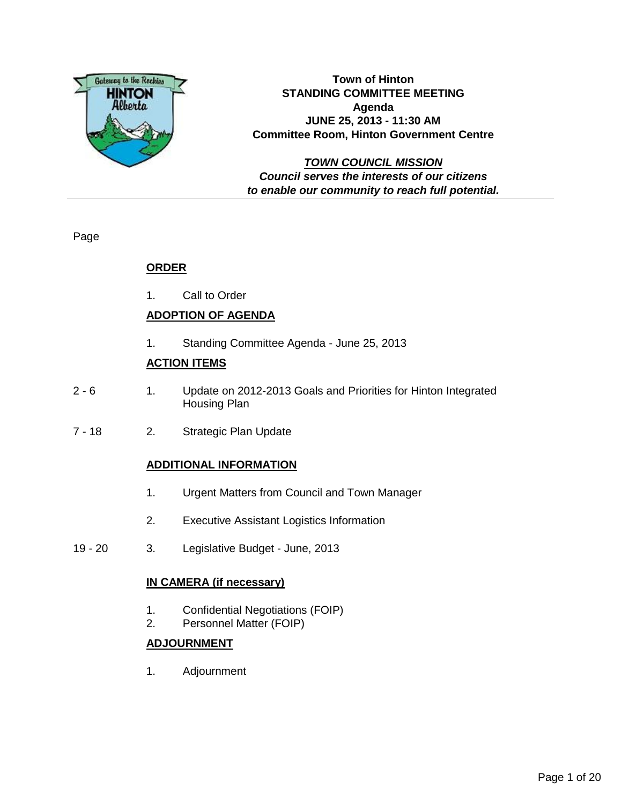

**Town of Hinton STANDING COMMITTEE MEETING Agenda JUNE 25, 2013 - 11:30 AM Committee Room, Hinton Government Centre**

**TOWN COUNCIL MISSION Council serves the interests of our citizens to enable our community to reach full potential.**

Page

#### **ORDER**

1. Call to Order

#### **ADOPTION OF AGENDA**

1. Standing Committee Agenda - June 25, 2013

#### **ACTION ITEMS**

- 2 6 1. Update on 2012-2013 Goals and Priorities for Hinton Integrated Housing Plan
- 7 18 2. Strategic Plan Update

#### **ADDITIONAL INFORMATION**

- 1. Urgent Matters from Council and Town Manager
- 2. Executive Assistant Logistics Information
- 19 20 3. Legislative Budget June, 2013

#### **IN CAMERA (if necessary)**

- 1. Confidential Negotiations (FOIP)
- 2. Personnel Matter (FOIP)

#### **ADJOURNMENT**

1. Adjournment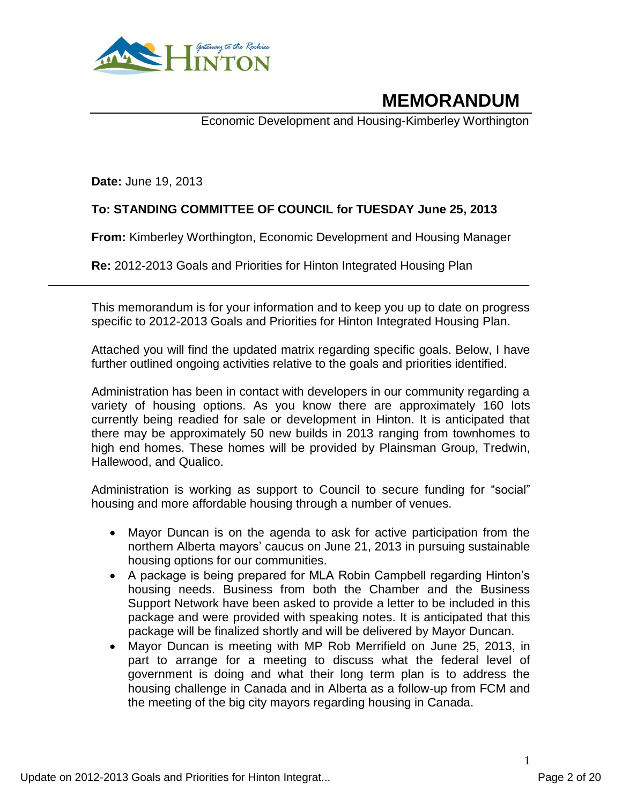

# **MEMORANDUM**

Economic Development and Housing-Kimberley Worthington

**Date:** June 19, 2013

#### **To: STANDING COMMITTEE OF COUNCIL for TUESDAY June 25, 2013**

**From:** Kimberley Worthington, Economic Development and Housing Manager

**Re:** 2012-2013 Goals and Priorities for Hinton Integrated Housing Plan \_\_\_\_\_\_\_\_\_\_\_\_\_\_\_\_\_\_\_\_\_\_\_\_\_\_\_\_\_\_\_\_\_\_\_\_\_\_\_\_\_\_\_\_\_\_\_\_\_\_\_\_\_\_\_\_\_\_\_\_\_\_\_\_\_\_\_\_\_\_\_

This memorandum is for your information and to keep you up to date on progress specific to 2012-2013 Goals and Priorities for Hinton Integrated Housing Plan.

Attached you will find the updated matrix regarding specific goals. Below, I have further outlined ongoing activities relative to the goals and priorities identified.

Administration has been in contact with developers in our community regarding a variety of housing options. As you know there are approximately 160 lots currently being readied for sale or development in Hinton. It is anticipated that there may be approximately 50 new builds in 2013 ranging from townhomes to high end homes. These homes will be provided by Plainsman Group, Tredwin, Hallewood, and Qualico.

Administration is working as support to Council to secure funding for "social" housing and more affordable housing through a number of venues.

- Mayor Duncan is on the agenda to ask for active participation from the northern Alberta mayors' caucus on June 21, 2013 in pursuing sustainable housing options for our communities.
- A package is being prepared for MLA Robin Campbell regarding Hinton's housing needs. Business from both the Chamber and the Business Support Network have been asked to provide a letter to be included in this package and were provided with speaking notes. It is anticipated that this package will be finalized shortly and will be delivered by Mayor Duncan.
- Mayor Duncan is meeting with MP Rob Merrifield on June 25, 2013, in part to arrange for a meeting to discuss what the federal level of government is doing and what their long term plan is to address the housing challenge in Canada and in Alberta as a follow-up from FCM and the meeting of the big city mayors regarding housing in Canada.

1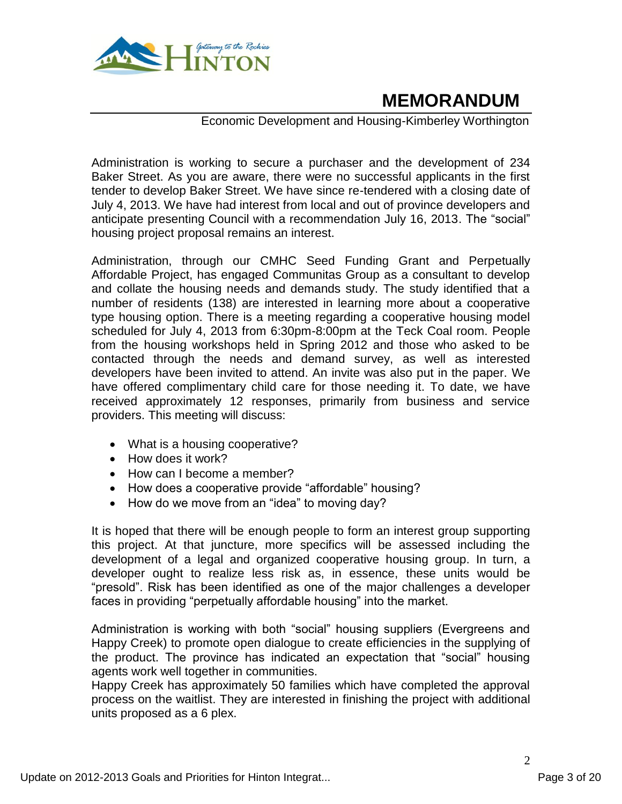

## **MEMORANDUM**

#### Economic Development and Housing-Kimberley Worthington

Administration is working to secure a purchaser and the development of 234 Baker Street. As you are aware, there were no successful applicants in the first tender to develop Baker Street. We have since re-tendered with a closing date of July 4, 2013. We have had interest from local and out of province developers and anticipate presenting Council with a recommendation July 16, 2013. The "social" housing project proposal remains an interest.

Administration, through our CMHC Seed Funding Grant and Perpetually Affordable Project, has engaged Communitas Group as a consultant to develop and collate the housing needs and demands study. The study identified that a number of residents (138) are interested in learning more about a cooperative type housing option. There is a meeting regarding a cooperative housing model scheduled for July 4, 2013 from 6:30pm-8:00pm at the Teck Coal room. People from the housing workshops held in Spring 2012 and those who asked to be contacted through the needs and demand survey, as well as interested developers have been invited to attend. An invite was also put in the paper. We have offered complimentary child care for those needing it. To date, we have received approximately 12 responses, primarily from business and service providers. This meeting will discuss:

- What is a housing cooperative?
- How does it work?
- How can I become a member?
- How does a cooperative provide "affordable" housing?
- How do we move from an "idea" to moving day?

It is hoped that there will be enough people to form an interest group supporting this project. At that juncture, more specifics will be assessed including the development of a legal and organized cooperative housing group. In turn, a developer ought to realize less risk as, in essence, these units would be "presold". Risk has been identified as one of the major challenges a developer faces in providing "perpetually affordable housing" into the market.

Administration is working with both "social" housing suppliers (Evergreens and Happy Creek) to promote open dialogue to create efficiencies in the supplying of the product. The province has indicated an expectation that "social" housing agents work well together in communities.

Happy Creek has approximately 50 families which have completed the approval process on the waitlist. They are interested in finishing the project with additional units proposed as a 6 plex.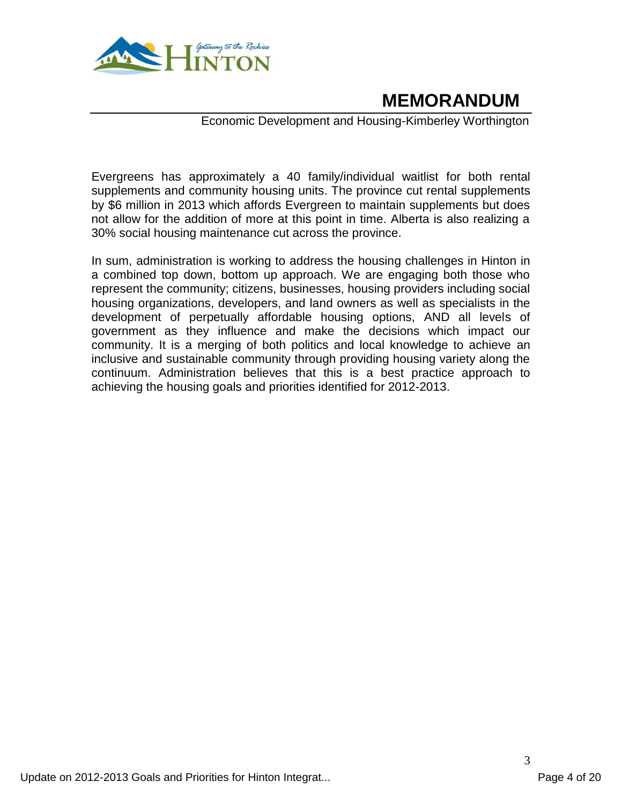

## **MEMORANDUM**

#### Economic Development and Housing-Kimberley Worthington

Evergreens has approximately a 40 family/individual waitlist for both rental supplements and community housing units. The province cut rental supplements by \$6 million in 2013 which affords Evergreen to maintain supplements but does not allow for the addition of more at this point in time. Alberta is also realizing a 30% social housing maintenance cut across the province.

In sum, administration is working to address the housing challenges in Hinton in a combined top down, bottom up approach. We are engaging both those who represent the community; citizens, businesses, housing providers including social housing organizations, developers, and land owners as well as specialists in the development of perpetually affordable housing options, AND all levels of government as they influence and make the decisions which impact our community. It is a merging of both politics and local knowledge to achieve an inclusive and sustainable community through providing housing variety along the continuum. Administration believes that this is a best practice approach to achieving the housing goals and priorities identified for 2012-2013.

3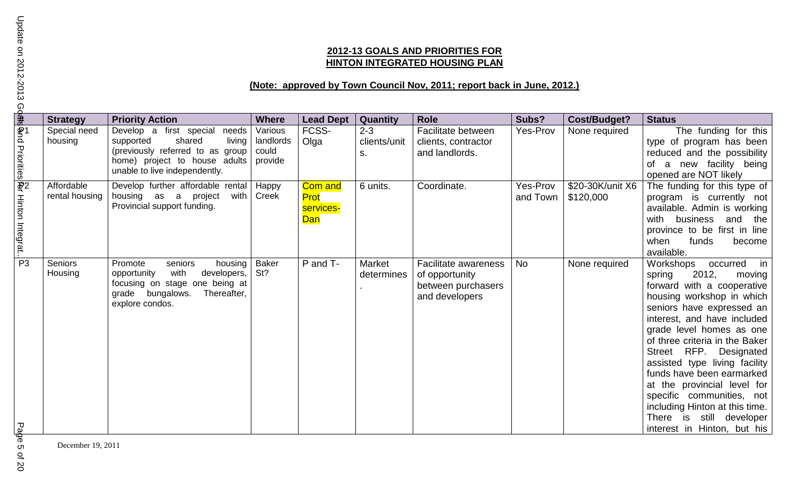#### **2012-13 GOALS AND PRIORITIES FOR HINTON INTEGRATED HOUSING PLAN**

## **(Note: approved by Town Council Nov, 2011; report back in June, 2012.)**

| $\frac{9}{3}$                     | <b>Strategy</b>              | <b>Priority Action</b>                                                                                                                                                  | <b>Where</b>                             | <b>Lead Dept</b>                           | Quantity                      | <b>Role</b>                                                                    | Subs?                | <b>Cost/Budget?</b>           | <b>Status</b>                                                                                                                                                                                                                                                                                                                                                                                                                                             |
|-----------------------------------|------------------------------|-------------------------------------------------------------------------------------------------------------------------------------------------------------------------|------------------------------------------|--------------------------------------------|-------------------------------|--------------------------------------------------------------------------------|----------------------|-------------------------------|-----------------------------------------------------------------------------------------------------------------------------------------------------------------------------------------------------------------------------------------------------------------------------------------------------------------------------------------------------------------------------------------------------------------------------------------------------------|
|                                   | Special need<br>housing      | Develop a first special<br>needs<br>living<br>shared<br>supported<br>(previously referred to as group<br>home) project to house adults<br>unable to live independently. | Various<br>landlords<br>could<br>provide | FCSS-<br>Olga                              | $2 - 3$<br>clients/unit<br>S. | Facilitate between<br>clients, contractor<br>and landlords.                    | <b>Yes-Prov</b>      | None required                 | The funding for this<br>type of program has been<br>reduced and the possibility  <br>a new facility being<br>οf<br>opened are NOT likely                                                                                                                                                                                                                                                                                                                  |
| Φnd Priorities Φr Hinton Integrat | Affordable<br>rental housing | Develop further affordable rental<br>housing as a project<br>with<br>Provincial support funding.                                                                        | Happy<br>Creek                           | <b>Com and</b><br>Prot<br>services-<br>Dan | 6 units.                      | Coordinate.                                                                    | Yes-Prov<br>and Town | \$20-30K/unit X6<br>\$120,000 | The funding for this type of<br>program is currently not<br>available. Admin is working<br>with business<br>and the<br>province to be first in line<br>when<br>funds<br>become<br>available.                                                                                                                                                                                                                                                              |
| $\overline{P3}$                   | <b>Seniors</b><br>Housing    | Promote<br>seniors<br>housing<br>opportunity<br>with<br>developers,<br>focusing on stage one being at<br>grade bungalows.<br>Thereafter,<br>explore condos.             | Baker<br>St?                             | P and T-                                   | Market<br>determines          | Facilitate awareness<br>of opportunity<br>between purchasers<br>and developers | <b>No</b>            | None required                 | Workshops occurred in<br>2012,<br>spring<br>moving<br>forward with a cooperative<br>housing workshop in which<br>seniors have expressed an<br>interest, and have included<br>grade level homes as one<br>of three criteria in the Baker<br>Street RFP. Designated<br>assisted type living facility<br>funds have been earmarked<br>at the provincial level for<br>specific communities, not<br>including Hinton at this time.<br>There is still developer |
| لج<br>ھ                           |                              |                                                                                                                                                                         |                                          |                                            |                               |                                                                                |                      |                               | interest in Hinton, but his                                                                                                                                                                                                                                                                                                                                                                                                                               |

December 19, 2011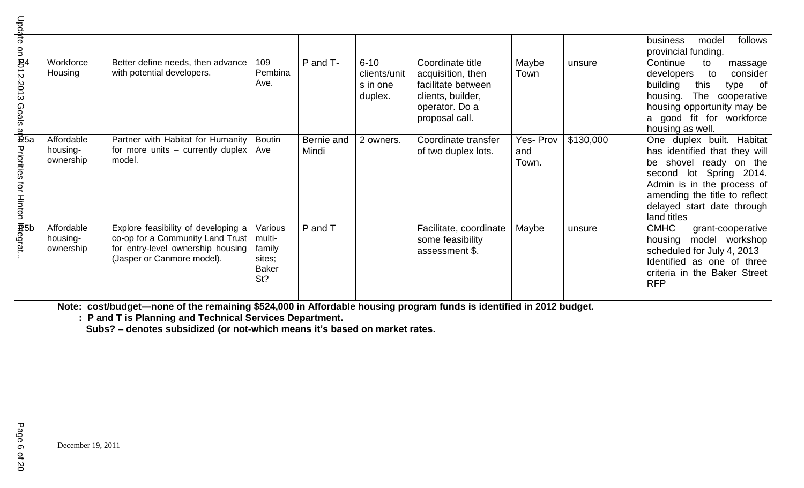|                                                                                                                      |                                     |                                                                                                                                            |                                                              |                     |                                                 |                                                                                                                      |                          |           | follows<br>model<br>business<br>provincial funding.                                                                                                                                                                            |
|----------------------------------------------------------------------------------------------------------------------|-------------------------------------|--------------------------------------------------------------------------------------------------------------------------------------------|--------------------------------------------------------------|---------------------|-------------------------------------------------|----------------------------------------------------------------------------------------------------------------------|--------------------------|-----------|--------------------------------------------------------------------------------------------------------------------------------------------------------------------------------------------------------------------------------|
| npdate on <mark>R</mark> 012-2013 Goals ar <del>®l</del><br>Update on <mark>R</mark> 012-2013 Goals ar <del>®l</del> | Workforce<br>Housing                | Better define needs, then advance<br>with potential developers.                                                                            | 109<br>Pembina<br>Ave.                                       | P and T-            | $6 - 10$<br>clients/unit<br>s in one<br>duplex. | Coordinate title<br>acquisition, then<br>facilitate between<br>clients, builder,<br>operator. Do a<br>proposal call. | Maybe<br>Town            | unsure    | Continue<br>to<br>massage<br>developers<br>consider<br>to<br>building<br>this<br>type<br>of<br>housing.<br>The cooperative<br>housing opportunity may be<br>a good fit for workforce<br>housing as well.                       |
| Priorities for Hinton <mark>IA</mark> tegrat.<br>Priorities for Hinton <b>IA</b> tegrat.                             | Affordable<br>housing-<br>ownership | Partner with Habitat for Humanity<br>for more units – currently duplex<br>model.                                                           | <b>Boutin</b><br>Ave                                         | Bernie and<br>Mindi | 2 owners.                                       | Coordinate transfer<br>of two duplex lots.                                                                           | Yes-Prov<br>and<br>Town. | \$130,000 | One duplex built. Habitat<br>has identified that they will<br>shovel ready on the<br>be<br>second lot Spring 2014.<br>Admin is in the process of<br>amending the title to reflect<br>delayed start date through<br>land titles |
|                                                                                                                      | Affordable<br>housing-<br>ownership | Explore feasibility of developing a<br>co-op for a Community Land Trust<br>for entry-level ownership housing<br>(Jasper or Canmore model). | Various<br>multi-<br>family<br>sites;<br><b>Baker</b><br>St? | P and T             |                                                 | Facilitate, coordinate<br>some feasibility<br>assessment \$.                                                         | Maybe                    | unsure    | <b>CMHC</b><br>grant-cooperative<br>housing model workshop<br>scheduled for July 4, 2013<br>Identified as one of three<br>criteria in the Baker Street<br><b>RFP</b>                                                           |

**Note: cost/budget—none of the remaining \$524,000 in Affordable housing program funds is identified in 2012 budget.**

 **: P and T is Planning and Technical Services Department.**

**Subs? – denotes subsidized (or not-which means it's based on market rates.**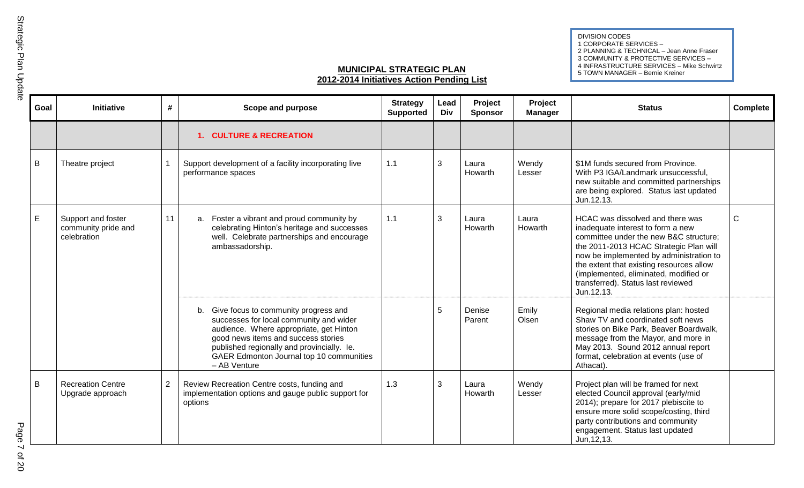DIVISION CODES 1 CORPORATE SERVICES – 2 PLANNING & TECHNICAL – Jean Anne Fraser 3 COMMUNITY & PROTECTIVE SERVICES – 4 INFRASTRUCTURE SERVICES – Mike Schwirtz 5 TOWN MANAGER – Bernie Kreiner

#### **MUNICIPAL STRATEGIC PLAN 2012-2014 Initiatives Action Pending List**

| Goal        | Initiative                                               | #              | Scope and purpose                                                                                                                                                                                                                                                                 | <b>Strategy</b><br><b>Supported</b> | Lead<br><b>Div</b> | Project<br><b>Sponsor</b> | Project<br><b>Manager</b> | <b>Status</b>                                                                                                                                                                                                                                                                                                                                 | Complete     |
|-------------|----------------------------------------------------------|----------------|-----------------------------------------------------------------------------------------------------------------------------------------------------------------------------------------------------------------------------------------------------------------------------------|-------------------------------------|--------------------|---------------------------|---------------------------|-----------------------------------------------------------------------------------------------------------------------------------------------------------------------------------------------------------------------------------------------------------------------------------------------------------------------------------------------|--------------|
|             |                                                          |                | 1. CULTURE & RECREATION                                                                                                                                                                                                                                                           |                                     |                    |                           |                           |                                                                                                                                                                                                                                                                                                                                               |              |
| B           | Theatre project                                          |                | Support development of a facility incorporating live<br>performance spaces                                                                                                                                                                                                        | 1.1                                 | 3                  | Laura<br>Howarth          | Wendy<br>Lesser           | \$1M funds secured from Province.<br>With P3 IGA/Landmark unsuccessful,<br>new suitable and committed partnerships<br>are being explored. Status last updated<br>Jun.12.13.                                                                                                                                                                   |              |
| $\mathsf E$ | Support and foster<br>community pride and<br>celebration | 11             | Foster a vibrant and proud community by<br>a.<br>celebrating Hinton's heritage and successes<br>well. Celebrate partnerships and encourage<br>ambassadorship.                                                                                                                     | 1.1                                 | 3                  | Laura<br>Howarth          | Laura<br>Howarth          | HCAC was dissolved and there was<br>inadequate interest to form a new<br>committee under the new B&C structure;<br>the 2011-2013 HCAC Strategic Plan will<br>now be implemented by administration to<br>the extent that existing resources allow<br>(implemented, eliminated, modified or<br>transferred). Status last reviewed<br>Jun.12.13. | $\mathsf{C}$ |
|             |                                                          |                | Give focus to community progress and<br>b.<br>successes for local community and wider<br>audience. Where appropriate, get Hinton<br>good news items and success stories<br>published regionally and provincially. le.<br>GAER Edmonton Journal top 10 communities<br>- AB Venture |                                     | 5                  | Denise<br>Parent          | Emily<br>Olsen            | Regional media relations plan: hosted<br>Shaw TV and coordinated soft news<br>stories on Bike Park, Beaver Boardwalk,<br>message from the Mayor, and more in<br>May 2013. Sound 2012 annual report<br>format, celebration at events (use of<br>Athacat).                                                                                      |              |
| $\mathsf B$ | <b>Recreation Centre</b><br>Upgrade approach             | $\overline{2}$ | Review Recreation Centre costs, funding and<br>implementation options and gauge public support for<br>options                                                                                                                                                                     | 1.3                                 | 3                  | Laura<br>Howarth          | Wendy<br>Lesser           | Project plan will be framed for next<br>elected Council approval (early/mid<br>2014); prepare for 2017 plebiscite to<br>ensure more solid scope/costing, third<br>party contributions and community<br>engagement. Status last updated<br>Jun, 12, 13.                                                                                        |              |

# Strategic Plan Update Strategic Plan Update

Page 7 of 20 Page 7 of 20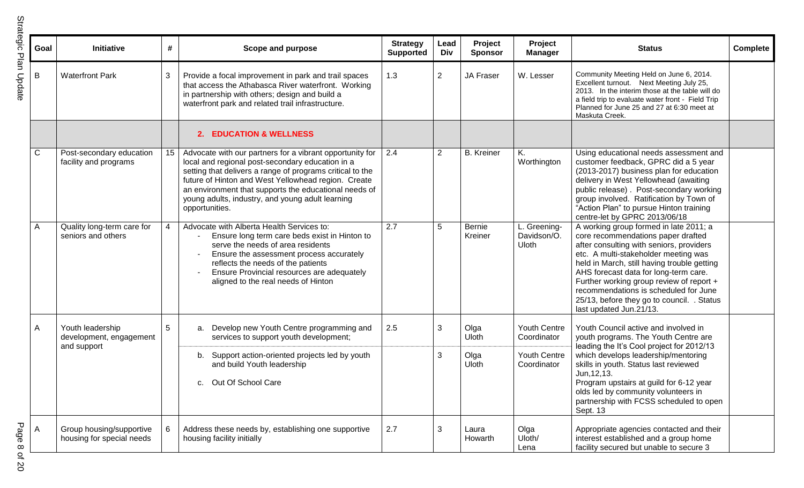| 2<br>ن<br>موال |
|----------------|
|                |
|                |
|                |
|                |
|                |
|                |
| Ξ              |
|                |

| Goal         | Initiative                                                 | #               | Scope and purpose                                                                                                                                                                                                                                                                                                                                               | <b>Strategy</b><br><b>Supported</b> | Lead<br>Div    | Project<br><b>Sponsor</b> | Project<br><b>Manager</b>            | <b>Status</b>                                                                                                                                                                                                                                                                                                                                                                                                          | <b>Complete</b> |
|--------------|------------------------------------------------------------|-----------------|-----------------------------------------------------------------------------------------------------------------------------------------------------------------------------------------------------------------------------------------------------------------------------------------------------------------------------------------------------------------|-------------------------------------|----------------|---------------------------|--------------------------------------|------------------------------------------------------------------------------------------------------------------------------------------------------------------------------------------------------------------------------------------------------------------------------------------------------------------------------------------------------------------------------------------------------------------------|-----------------|
| B            | <b>Waterfront Park</b>                                     | 3               | Provide a focal improvement in park and trail spaces<br>that access the Athabasca River waterfront. Working<br>in partnership with others; design and build a<br>waterfront park and related trail infrastructure.                                                                                                                                              | 1.3                                 | $\overline{2}$ | JA Fraser                 | W. Lesser                            | Community Meeting Held on June 6, 2014.<br>Excellent turnout. Next Meeting July 25,<br>2013. In the interim those at the table will do<br>a field trip to evaluate water front - Field Trip<br>Planned for June 25 and 27 at 6:30 meet at<br>Maskuta Creek.                                                                                                                                                            |                 |
|              |                                                            |                 | <b>EDUCATION &amp; WELLNESS</b><br>2.                                                                                                                                                                                                                                                                                                                           |                                     |                |                           |                                      |                                                                                                                                                                                                                                                                                                                                                                                                                        |                 |
| $\mathsf{C}$ | Post-secondary education<br>facility and programs          | 15              | Advocate with our partners for a vibrant opportunity for<br>local and regional post-secondary education in a<br>setting that delivers a range of programs critical to the<br>future of Hinton and West Yellowhead region. Create<br>an environment that supports the educational needs of<br>young adults, industry, and young adult learning<br>opportunities. | 2.4                                 | 2              | <b>B.</b> Kreiner         | K.<br>Worthington                    | Using educational needs assessment and<br>customer feedback, GPRC did a 5 year<br>(2013-2017) business plan for education<br>delivery in West Yellowhead (awaiting<br>public release). Post-secondary working<br>group involved. Ratification by Town of<br>"Action Plan" to pursue Hinton training<br>centre-let by GPRC 2013/06/18                                                                                   |                 |
| A            | Quality long-term care for<br>seniors and others           | $\overline{4}$  | Advocate with Alberta Health Services to:<br>Ensure long term care beds exist in Hinton to<br>serve the needs of area residents<br>Ensure the assessment process accurately<br>reflects the needs of the patients<br>Ensure Provincial resources are adequately<br>aligned to the real needs of Hinton                                                          | 2.7                                 | 5              | Bernie<br>Kreiner         | L. Greening-<br>Davidson/O.<br>Uloth | A working group formed in late 2011; a<br>core recommendations paper drafted<br>after consulting with seniors, providers<br>etc. A multi-stakeholder meeting was<br>held in March, still having trouble getting<br>AHS forecast data for long-term care.<br>Further working group review of report +<br>recommendations is scheduled for June<br>25/13, before they go to council. . Status<br>last updated Jun.21/13. |                 |
| A            | Youth leadership<br>development, engagement<br>and support | $5\phantom{.0}$ | a. Develop new Youth Centre programming and<br>services to support youth development;                                                                                                                                                                                                                                                                           | 2.5                                 | 3              | Olga<br>Uloth             | <b>Youth Centre</b><br>Coordinator   | Youth Council active and involved in<br>youth programs. The Youth Centre are<br>leading the It's Cool project for 2012/13                                                                                                                                                                                                                                                                                              |                 |
|              |                                                            |                 | Support action-oriented projects led by youth<br>b.<br>and build Youth leadership<br>c. Out Of School Care                                                                                                                                                                                                                                                      |                                     | 3              | Olga<br>Uloth             | Youth Centre<br>Coordinator          | which develops leadership/mentoring<br>skills in youth. Status last reviewed<br>Jun, 12, 13.<br>Program upstairs at guild for 6-12 year<br>olds led by community volunteers in<br>partnership with FCSS scheduled to open<br>Sept. 13                                                                                                                                                                                  |                 |
| A            | Group housing/supportive<br>housing for special needs      | 6               | Address these needs by, establishing one supportive<br>housing facility initially                                                                                                                                                                                                                                                                               | 2.7                                 | 3              | Laura<br>Howarth          | Olga<br>Uloth/<br>Lena               | Appropriate agencies contacted and their<br>interest established and a group home<br>facility secured but unable to secure 3                                                                                                                                                                                                                                                                                           |                 |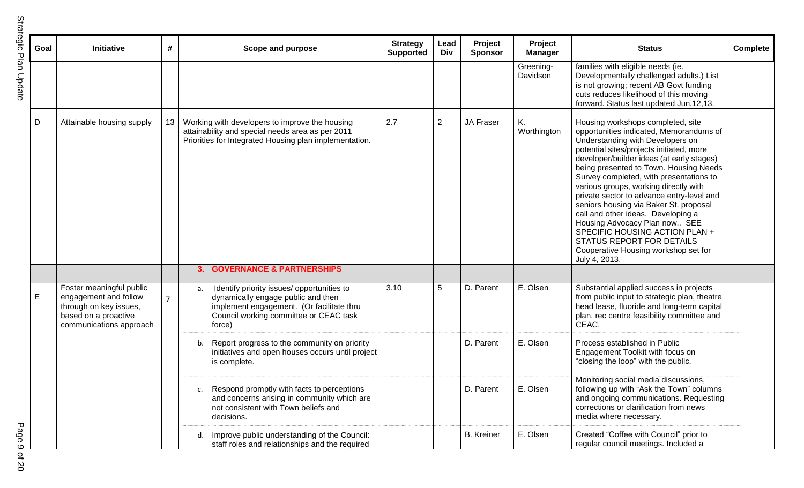| ĉ<br>ن<br>م<br>ح |  |
|------------------|--|
| ž<br>Ξ<br>Ć      |  |

|             | Goal | Initiative                                                                                                                     | #              | <b>Scope and purpose</b>                                                                                                                                                                | <b>Strategy</b><br><b>Supported</b> | Lead<br><b>Div</b> | Project<br><b>Sponsor</b> | Project<br><b>Manager</b> | <b>Status</b>                                                                                                                                                                                                                                                                                                                                                                                                                                                                                                                                                                                                                 | Complete |
|-------------|------|--------------------------------------------------------------------------------------------------------------------------------|----------------|-----------------------------------------------------------------------------------------------------------------------------------------------------------------------------------------|-------------------------------------|--------------------|---------------------------|---------------------------|-------------------------------------------------------------------------------------------------------------------------------------------------------------------------------------------------------------------------------------------------------------------------------------------------------------------------------------------------------------------------------------------------------------------------------------------------------------------------------------------------------------------------------------------------------------------------------------------------------------------------------|----------|
|             |      |                                                                                                                                |                |                                                                                                                                                                                         |                                     |                    |                           | Greening-<br>Davidson     | families with eligible needs (ie.<br>Developmentally challenged adults.) List<br>is not growing; recent AB Govt funding<br>cuts reduces likelihood of this moving<br>forward. Status last updated Jun, 12, 13.                                                                                                                                                                                                                                                                                                                                                                                                                |          |
| D           |      | Attainable housing supply                                                                                                      | 13             | Working with developers to improve the housing<br>attainability and special needs area as per 2011<br>Priorities for Integrated Housing plan implementation.                            | 2.7                                 | $\mathbf{2}$       | JA Fraser                 | Κ.<br>Worthington         | Housing workshops completed, site<br>opportunities indicated, Memorandums of<br>Understanding with Developers on<br>potential sites/projects initiated, more<br>developer/builder ideas (at early stages)<br>being presented to Town. Housing Needs<br>Survey completed, with presentations to<br>various groups, working directly with<br>private sector to advance entry-level and<br>seniors housing via Baker St. proposal<br>call and other ideas. Developing a<br>Housing Advocacy Plan now SEE<br>SPECIFIC HOUSING ACTION PLAN +<br>STATUS REPORT FOR DETAILS<br>Cooperative Housing workshop set for<br>July 4, 2013. |          |
|             |      |                                                                                                                                |                | <b>GOVERNANCE &amp; PARTNERSHIPS</b><br>3.                                                                                                                                              |                                     |                    |                           |                           |                                                                                                                                                                                                                                                                                                                                                                                                                                                                                                                                                                                                                               |          |
| $\mathsf E$ |      | Foster meaningful public<br>engagement and follow<br>through on key issues,<br>based on a proactive<br>communications approach | $\overline{7}$ | Identify priority issues/ opportunities to<br>a.<br>dynamically engage public and then<br>implement engagement. (Or facilitate thru<br>Council working committee or CEAC task<br>force) | 3.10                                | 5                  | D. Parent                 | E. Olsen                  | Substantial applied success in projects<br>from public input to strategic plan, theatre<br>head lease, fluoride and long-term capital<br>plan, rec centre feasibility committee and<br>CEAC.                                                                                                                                                                                                                                                                                                                                                                                                                                  |          |
|             |      |                                                                                                                                |                | b.<br>Report progress to the community on priority<br>initiatives and open houses occurs until project<br>is complete.                                                                  |                                     |                    | D. Parent                 | E. Olsen                  | Process established in Public<br>Engagement Toolkit with focus on<br>"closing the loop" with the public.                                                                                                                                                                                                                                                                                                                                                                                                                                                                                                                      |          |
|             |      |                                                                                                                                |                | Respond promptly with facts to perceptions<br>and concerns arising in community which are<br>not consistent with Town beliefs and<br>decisions.                                         |                                     |                    | D. Parent                 | E. Olsen                  | Monitoring social media discussions,<br>following up with "Ask the Town" columns<br>and ongoing communications. Requesting<br>corrections or clarification from news<br>media where necessary.                                                                                                                                                                                                                                                                                                                                                                                                                                |          |
|             |      |                                                                                                                                |                | d. Improve public understanding of the Council:<br>staff roles and relationships and the required                                                                                       |                                     |                    | <b>B.</b> Kreiner         | E. Olsen                  | Created "Coffee with Council" prior to<br>regular council meetings. Included a                                                                                                                                                                                                                                                                                                                                                                                                                                                                                                                                                |          |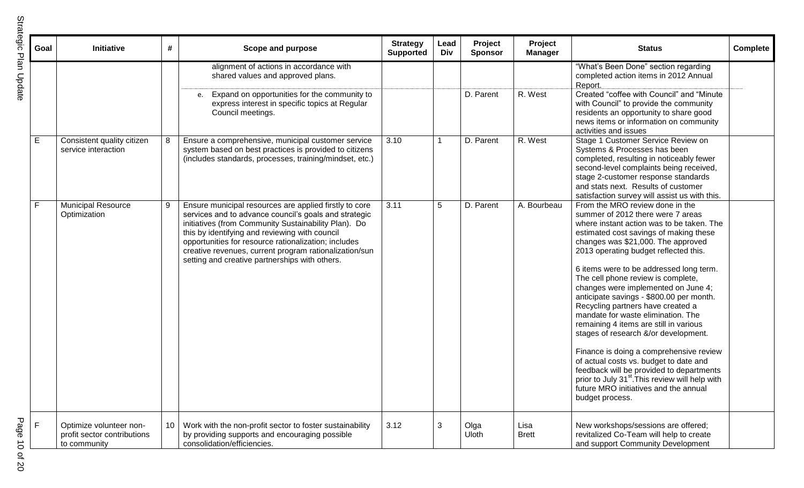| t<br>ה<br>הלור<br>I |  |
|---------------------|--|
|                     |  |
|                     |  |
|                     |  |
| ž                   |  |
| ้ถั                 |  |

| Goal | #<br>Initiative                                                                           | Scope and purpose                                                                                                                                                                                                                                                                                                                                                                             | <b>Strategy</b><br><b>Supported</b> | Lead<br>Div | Project<br><b>Sponsor</b> | Project<br><b>Manager</b> | <b>Status</b>                                                                                                                                                                                                                                                                                                                                                                                                                                                                                                                                                                                                                                                                                                                                                                                                                           | Complete |
|------|-------------------------------------------------------------------------------------------|-----------------------------------------------------------------------------------------------------------------------------------------------------------------------------------------------------------------------------------------------------------------------------------------------------------------------------------------------------------------------------------------------|-------------------------------------|-------------|---------------------------|---------------------------|-----------------------------------------------------------------------------------------------------------------------------------------------------------------------------------------------------------------------------------------------------------------------------------------------------------------------------------------------------------------------------------------------------------------------------------------------------------------------------------------------------------------------------------------------------------------------------------------------------------------------------------------------------------------------------------------------------------------------------------------------------------------------------------------------------------------------------------------|----------|
|      |                                                                                           | alignment of actions in accordance with<br>shared values and approved plans.                                                                                                                                                                                                                                                                                                                  |                                     |             |                           |                           | "What's Been Done" section regarding<br>completed action items in 2012 Annual<br>Report.                                                                                                                                                                                                                                                                                                                                                                                                                                                                                                                                                                                                                                                                                                                                                |          |
|      |                                                                                           | Expand on opportunities for the community to<br>e.<br>express interest in specific topics at Regular<br>Council meetings.                                                                                                                                                                                                                                                                     |                                     |             | D. Parent                 | R. West                   | Created "coffee with Council" and "Minute<br>with Council" to provide the community<br>residents an opportunity to share good<br>news items or information on community<br>activities and issues                                                                                                                                                                                                                                                                                                                                                                                                                                                                                                                                                                                                                                        |          |
| Е    | 8<br>Consistent quality citizen<br>service interaction                                    | Ensure a comprehensive, municipal customer service<br>system based on best practices is provided to citizens<br>(includes standards, processes, training/mindset, etc.)                                                                                                                                                                                                                       | 3.10                                |             | D. Parent                 | R. West                   | Stage 1 Customer Service Review on<br>Systems & Processes has been<br>completed, resulting in noticeably fewer<br>second-level complaints being received,<br>stage 2-customer response standards<br>and stats next. Results of customer<br>satisfaction survey will assist us with this.                                                                                                                                                                                                                                                                                                                                                                                                                                                                                                                                                |          |
|      | <b>Municipal Resource</b><br>9<br>Optimization                                            | Ensure municipal resources are applied firstly to core<br>services and to advance council's goals and strategic<br>initiatives (from Community Sustainability Plan). Do<br>this by identifying and reviewing with council<br>opportunities for resource rationalization; includes<br>creative revenues, current program rationalization/sun<br>setting and creative partnerships with others. | 3.11                                | 5           | D. Parent                 | A. Bourbeau               | From the MRO review done in the<br>summer of 2012 there were 7 areas<br>where instant action was to be taken. The<br>estimated cost savings of making these<br>changes was \$21,000. The approved<br>2013 operating budget reflected this.<br>6 items were to be addressed long term.<br>The cell phone review is complete,<br>changes were implemented on June 4;<br>anticipate savings - \$800.00 per month.<br>Recycling partners have created a<br>mandate for waste elimination. The<br>remaining 4 items are still in various<br>stages of research &/or development.<br>Finance is doing a comprehensive review<br>of actual costs vs. budget to date and<br>feedback will be provided to departments<br>prior to July 31 <sup>st</sup> . This review will help with<br>future MRO initiatives and the annual<br>budget process. |          |
| F.   | Optimize volunteer non-<br>10 <sup>°</sup><br>profit sector contributions<br>to community | Work with the non-profit sector to foster sustainability<br>by providing supports and encouraging possible<br>consolidation/efficiencies.                                                                                                                                                                                                                                                     | 3.12                                | 3           | Olga<br><b>Uloth</b>      | Lisa<br><b>Brett</b>      | New workshops/sessions are offered;<br>revitalized Co-Team will help to create<br>and support Community Development                                                                                                                                                                                                                                                                                                                                                                                                                                                                                                                                                                                                                                                                                                                     |          |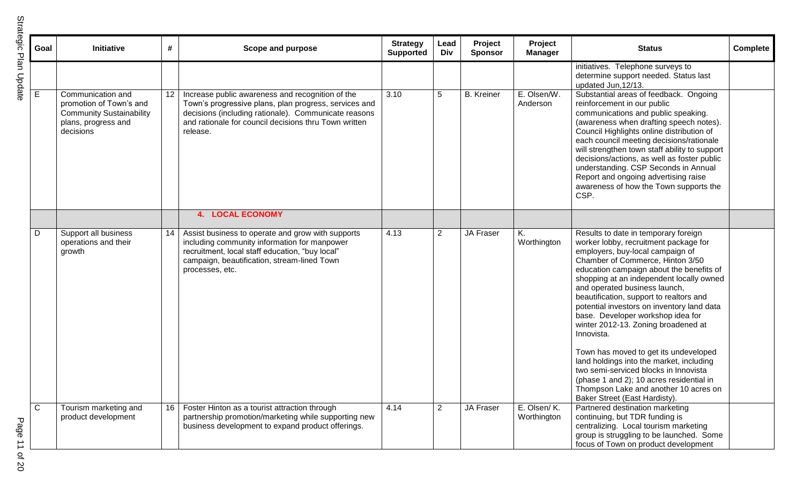| Goal         | Initiative                                                                                                          | #  | Scope and purpose                                                                                                                                                                                                                      | <b>Strategy</b><br><b>Supported</b> | Lead<br>Div    | Project<br><b>Sponsor</b> | Project<br><b>Manager</b>  | <b>Status</b>                                                                                                                                                                                                                                                                                                                                                                                                                                                                                                                                                                                                                                                                                                         | Complete |
|--------------|---------------------------------------------------------------------------------------------------------------------|----|----------------------------------------------------------------------------------------------------------------------------------------------------------------------------------------------------------------------------------------|-------------------------------------|----------------|---------------------------|----------------------------|-----------------------------------------------------------------------------------------------------------------------------------------------------------------------------------------------------------------------------------------------------------------------------------------------------------------------------------------------------------------------------------------------------------------------------------------------------------------------------------------------------------------------------------------------------------------------------------------------------------------------------------------------------------------------------------------------------------------------|----------|
|              |                                                                                                                     |    |                                                                                                                                                                                                                                        |                                     |                |                           |                            | initiatives. Telephone surveys to<br>determine support needed. Status last<br>updated Jun, 12/13.                                                                                                                                                                                                                                                                                                                                                                                                                                                                                                                                                                                                                     |          |
| E            | Communication and<br>promotion of Town's and<br><b>Community Sustainability</b><br>plans, progress and<br>decisions | 12 | Increase public awareness and recognition of the<br>Town's progressive plans, plan progress, services and<br>decisions (including rationale). Communicate reasons<br>and rationale for council decisions thru Town written<br>release. | 3.10                                | 5              | <b>B.</b> Kreiner         | E. Olsen/W.<br>Anderson    | Substantial areas of feedback. Ongoing<br>reinforcement in our public<br>communications and public speaking.<br>(awareness when drafting speech notes).<br>Council Highlights online distribution of<br>each council meeting decisions/rationale<br>will strengthen town staff ability to support<br>decisions/actions, as well as foster public<br>understanding. CSP Seconds in Annual<br>Report and ongoing advertising raise<br>awareness of how the Town supports the<br>CSP.                                                                                                                                                                                                                                    |          |
|              |                                                                                                                     |    | <b>4. LOCAL ECONOMY</b>                                                                                                                                                                                                                |                                     |                |                           |                            |                                                                                                                                                                                                                                                                                                                                                                                                                                                                                                                                                                                                                                                                                                                       |          |
| D            | Support all business<br>operations and their<br>growth                                                              | 14 | Assist business to operate and grow with supports<br>including community information for manpower<br>recruitment, local staff education, "buy local"<br>campaign, beautification, stream-lined Town<br>processes, etc.                 | 4.13                                | $\overline{2}$ | JA Fraser                 | Κ.<br>Worthington          | Results to date in temporary foreign<br>worker lobby, recruitment package for<br>employers, buy-local campaign of<br>Chamber of Commerce, Hinton 3/50<br>education campaign about the benefits of<br>shopping at an independent locally owned<br>and operated business launch,<br>beautification, support to realtors and<br>potential investors on inventory land data<br>base. Developer workshop idea for<br>winter 2012-13. Zoning broadened at<br>Innovista.<br>Town has moved to get its undeveloped<br>land holdings into the market, including<br>two semi-serviced blocks in Innovista<br>(phase 1 and 2); 10 acres residential in<br>Thompson Lake and another 10 acres on<br>Baker Street (East Hardisty). |          |
| $\mathsf{C}$ | Tourism marketing and<br>product development                                                                        | 16 | Foster Hinton as a tourist attraction through<br>partnership promotion/marketing while supporting new<br>business development to expand product offerings.                                                                             | 4.14                                | $\overline{2}$ | JA Fraser                 | E. Olsen/K.<br>Worthington | Partnered destination marketing<br>continuing, but TDR funding is<br>centralizing. Local tourism marketing<br>group is struggling to be launched. Some<br>focus of Town on product development                                                                                                                                                                                                                                                                                                                                                                                                                                                                                                                        |          |

 $\overline{\phantom{a}}$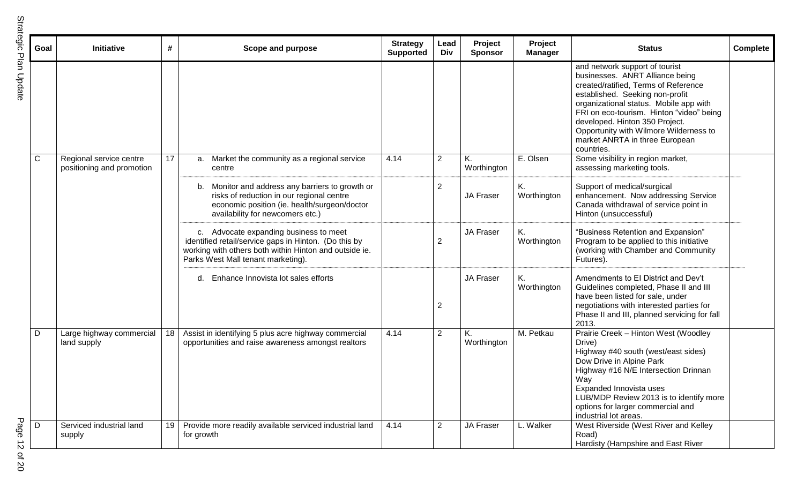| t<br>ن<br>م<br>م |  |
|------------------|--|
|                  |  |
| ۵<br>ć           |  |

| Goal | Initiative                                           | #  | Scope and purpose                                                                                                                                                                               | <b>Strategy</b><br><b>Supported</b> | Lead<br>Div    | Project<br><b>Sponsor</b> | <b>Project</b><br><b>Manager</b> | <b>Status</b>                                                                                                                                                                                                                                                                                                                                                  | <b>Complete</b> |
|------|------------------------------------------------------|----|-------------------------------------------------------------------------------------------------------------------------------------------------------------------------------------------------|-------------------------------------|----------------|---------------------------|----------------------------------|----------------------------------------------------------------------------------------------------------------------------------------------------------------------------------------------------------------------------------------------------------------------------------------------------------------------------------------------------------------|-----------------|
|      |                                                      |    |                                                                                                                                                                                                 |                                     |                |                           |                                  | and network support of tourist<br>businesses. ANRT Alliance being<br>created/ratified, Terms of Reference<br>established. Seeking non-profit<br>organizational status. Mobile app with<br>FRI on eco-tourism. Hinton "video" being<br>developed. Hinton 350 Project.<br>Opportunity with Wilmore Wilderness to<br>market ANRTA in three European<br>countries. |                 |
| C    | Regional service centre<br>positioning and promotion | 17 | Market the community as a regional service<br>a.<br>centre                                                                                                                                      | 4.14                                | $\overline{2}$ | Κ.<br>Worthington         | E. Olsen                         | Some visibility in region market,<br>assessing marketing tools.                                                                                                                                                                                                                                                                                                |                 |
|      |                                                      |    | b. Monitor and address any barriers to growth or<br>risks of reduction in our regional centre<br>economic position (ie. health/surgeon/doctor<br>availability for newcomers etc.)               |                                     | 2              | JA Fraser                 | Κ.<br>Worthington                | Support of medical/surgical<br>enhancement. Now addressing Service<br>Canada withdrawal of service point in<br>Hinton (unsuccessful)                                                                                                                                                                                                                           |                 |
|      |                                                      |    | c. Advocate expanding business to meet<br>identified retail/service gaps in Hinton. (Do this by<br>working with others both within Hinton and outside ie.<br>Parks West Mall tenant marketing). |                                     | 2              | <b>JA Fraser</b>          | Κ.<br>Worthington                | "Business Retention and Expansion"<br>Program to be applied to this initiative<br>(working with Chamber and Community<br>Futures).                                                                                                                                                                                                                             |                 |
|      |                                                      |    | Enhance Innovista lot sales efforts<br>d.                                                                                                                                                       |                                     | 2              | <b>JA Fraser</b>          | Κ.<br>Worthington                | Amendments to El District and Dev't<br>Guidelines completed, Phase II and III<br>have been listed for sale, under<br>negotiations with interested parties for<br>Phase II and III, planned servicing for fall<br>2013.                                                                                                                                         |                 |
| D    | Large highway commercial<br>land supply              | 18 | Assist in identifying 5 plus acre highway commercial<br>opportunities and raise awareness amongst realtors                                                                                      | 4.14                                | $\overline{2}$ | Κ.<br>Worthington         | M. Petkau                        | Prairie Creek - Hinton West (Woodley<br>Drive)<br>Highway #40 south (west/east sides)<br>Dow Drive in Alpine Park<br>Highway #16 N/E Intersection Drinnan<br>Way<br>Expanded Innovista uses<br>LUB/MDP Review 2013 is to identify more<br>options for larger commercial and<br>industrial lot areas.                                                           |                 |
| D    | Serviced industrial land<br>supply                   | 19 | Provide more readily available serviced industrial land<br>for growth                                                                                                                           | 4.14                                | $\overline{2}$ | <b>JA Fraser</b>          | L. Walker                        | West Riverside (West River and Kelley<br>Road)<br>Hardisty (Hampshire and East River                                                                                                                                                                                                                                                                           |                 |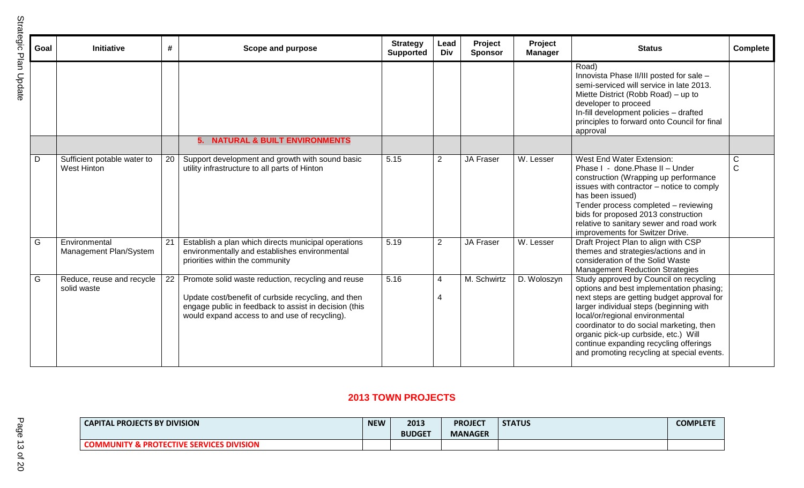| Goal | <b>Initiative</b>                                 | #  | Scope and purpose                                                                                                                                                                                                   | <b>Strategy</b><br><b>Supported</b> | Lead<br>Div    | Project<br><b>Sponsor</b> | Project<br><b>Manager</b> | <b>Status</b>                                                                                                                                                                                                                                                                                                                                                                              | <b>Complete</b>   |
|------|---------------------------------------------------|----|---------------------------------------------------------------------------------------------------------------------------------------------------------------------------------------------------------------------|-------------------------------------|----------------|---------------------------|---------------------------|--------------------------------------------------------------------------------------------------------------------------------------------------------------------------------------------------------------------------------------------------------------------------------------------------------------------------------------------------------------------------------------------|-------------------|
|      |                                                   |    |                                                                                                                                                                                                                     |                                     |                |                           |                           | Road)<br>Innovista Phase II/III posted for sale -<br>semi-serviced will service in late 2013.<br>Miette District (Robb Road) – up to<br>developer to proceed<br>In-fill development policies - drafted<br>principles to forward onto Council for final<br>approval                                                                                                                         |                   |
|      |                                                   |    | 5. NATURAL & BUILT ENVIRONMENTS                                                                                                                                                                                     |                                     |                |                           |                           |                                                                                                                                                                                                                                                                                                                                                                                            |                   |
| D    | Sufficient potable water to<br><b>West Hinton</b> | 20 | Support development and growth with sound basic<br>utility infrastructure to all parts of Hinton                                                                                                                    | 5.15                                | $\overline{2}$ | JA Fraser                 | W. Lesser                 | West End Water Extension:<br>Phase I - done. Phase II - Under<br>construction (Wrapping up performance<br>issues with contractor - notice to comply<br>has been issued)<br>Tender process completed - reviewing<br>bids for proposed 2013 construction<br>relative to sanitary sewer and road work<br>improvements for Switzer Drive.                                                      | C<br>$\mathsf{C}$ |
| G    | Environmental<br>Management Plan/System           | 21 | Establish a plan which directs municipal operations<br>environmentally and establishes environmental<br>priorities within the community                                                                             | 5.19                                | 2              | <b>JA Fraser</b>          | W. Lesser                 | Draft Project Plan to align with CSP<br>themes and strategies/actions and in<br>consideration of the Solid Waste<br><b>Management Reduction Strategies</b>                                                                                                                                                                                                                                 |                   |
| G    | Reduce, reuse and recycle<br>solid waste          | 22 | Promote solid waste reduction, recycling and reuse<br>Update cost/benefit of curbside recycling, and then<br>engage public in feedback to assist in decision (this<br>would expand access to and use of recycling). | 5.16                                | 4<br>4         | M. Schwirtz               | D. Woloszyn               | Study approved by Council on recycling<br>options and best implementation phasing;<br>next steps are getting budget approval for<br>larger individual steps (beginning with<br>local/or/regional environmental<br>coordinator to do social marketing, then<br>organic pick-up curbside, etc.) Will<br>continue expanding recycling offerings<br>and promoting recycling at special events. |                   |

### **2013 TOWN PROJECTS**

| <b>CAPITAL PROJECTS BY DIVISION</b>                                           | <b>NEW</b> | 2013<br><b>BUDGET</b> | <b>PROJECT</b><br><b>MANAGER</b> | <b>STATUS</b> | <b>COMPLETE</b> |
|-------------------------------------------------------------------------------|------------|-----------------------|----------------------------------|---------------|-----------------|
| <b>PROTECTIVE SERVICES DIVISION</b><br>" "LINIITV ~.<br>∴UIVIIVIUI\I I .<br>N |            |                       |                                  |               |                 |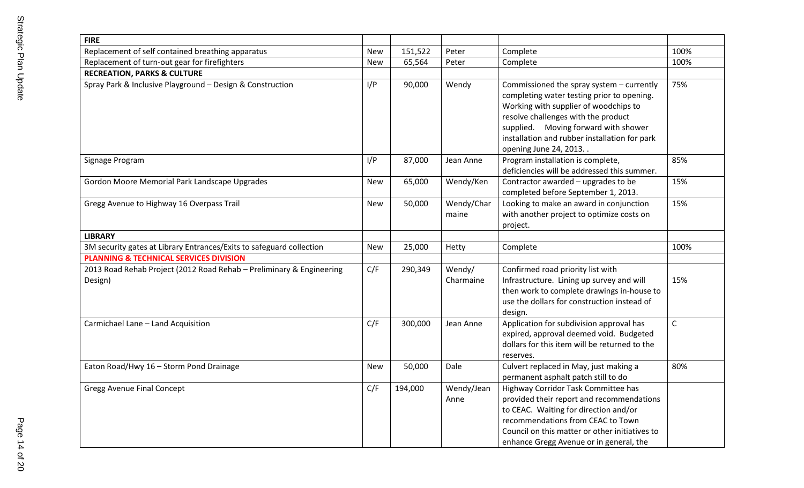| <b>FIRE</b>                                                                     |            |         |                     |                                                                                                                                                                                                                                                                                           |              |
|---------------------------------------------------------------------------------|------------|---------|---------------------|-------------------------------------------------------------------------------------------------------------------------------------------------------------------------------------------------------------------------------------------------------------------------------------------|--------------|
| Replacement of self contained breathing apparatus                               | <b>New</b> | 151,522 | Peter               | Complete                                                                                                                                                                                                                                                                                  | 100%         |
| Replacement of turn-out gear for firefighters                                   | <b>New</b> | 65,564  | Peter               | Complete                                                                                                                                                                                                                                                                                  | 100%         |
| <b>RECREATION, PARKS &amp; CULTURE</b>                                          |            |         |                     |                                                                                                                                                                                                                                                                                           |              |
| Spray Park & Inclusive Playground - Design & Construction                       | I/P        | 90,000  | Wendy               | Commissioned the spray system - currently<br>completing water testing prior to opening.<br>Working with supplier of woodchips to<br>resolve challenges with the product<br>supplied. Moving forward with shower<br>installation and rubber installation for park<br>opening June 24, 2013 | 75%          |
| Signage Program                                                                 | I/P        | 87,000  | Jean Anne           | Program installation is complete,<br>deficiencies will be addressed this summer.                                                                                                                                                                                                          | 85%          |
| Gordon Moore Memorial Park Landscape Upgrades                                   | New        | 65,000  | Wendy/Ken           | Contractor awarded - upgrades to be<br>completed before September 1, 2013.                                                                                                                                                                                                                | 15%          |
| Gregg Avenue to Highway 16 Overpass Trail                                       | <b>New</b> | 50,000  | Wendy/Char<br>maine | Looking to make an award in conjunction<br>with another project to optimize costs on<br>project.                                                                                                                                                                                          | 15%          |
| <b>LIBRARY</b>                                                                  |            |         |                     |                                                                                                                                                                                                                                                                                           |              |
| 3M security gates at Library Entrances/Exits to safeguard collection            | <b>New</b> | 25,000  | Hetty               | Complete                                                                                                                                                                                                                                                                                  | 100%         |
| <b>PLANNING &amp; TECHNICAL SERVICES DIVISION</b>                               |            |         |                     |                                                                                                                                                                                                                                                                                           |              |
| 2013 Road Rehab Project (2012 Road Rehab - Preliminary & Engineering<br>Design) | C/F        | 290,349 | Wendy/<br>Charmaine | Confirmed road priority list with<br>Infrastructure. Lining up survey and will<br>then work to complete drawings in-house to<br>use the dollars for construction instead of<br>design.                                                                                                    | 15%          |
| Carmichael Lane - Land Acquisition                                              | C/F        | 300,000 | Jean Anne           | Application for subdivision approval has<br>expired, approval deemed void. Budgeted<br>dollars for this item will be returned to the<br>reserves.                                                                                                                                         | $\mathsf{C}$ |
| Eaton Road/Hwy 16 - Storm Pond Drainage                                         | <b>New</b> | 50,000  | Dale                | Culvert replaced in May, just making a<br>permanent asphalt patch still to do                                                                                                                                                                                                             | 80%          |
| <b>Gregg Avenue Final Concept</b>                                               | C/F        | 194,000 | Wendy/Jean<br>Anne  | Highway Corridor Task Committee has<br>provided their report and recommendations<br>to CEAC. Waiting for direction and/or<br>recommendations from CEAC to Town<br>Council on this matter or other initiatives to<br>enhance Gregg Avenue or in general, the                               |              |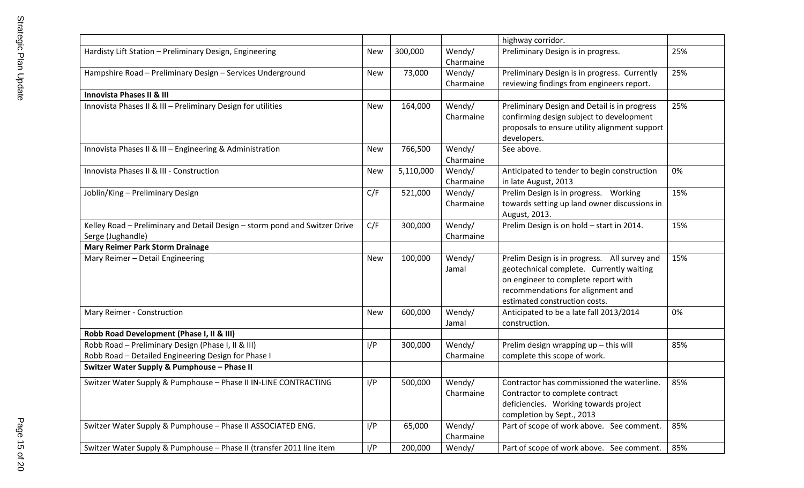|                                                                                                           |            |           |                     | highway corridor.                                                                                                                                                                                     |     |
|-----------------------------------------------------------------------------------------------------------|------------|-----------|---------------------|-------------------------------------------------------------------------------------------------------------------------------------------------------------------------------------------------------|-----|
| Hardisty Lift Station - Preliminary Design, Engineering                                                   | New        | 300,000   | Wendy/<br>Charmaine | Preliminary Design is in progress.                                                                                                                                                                    | 25% |
| Hampshire Road - Preliminary Design - Services Underground                                                | New        | 73,000    | Wendy/<br>Charmaine | Preliminary Design is in progress. Currently<br>reviewing findings from engineers report.                                                                                                             | 25% |
| <b>Innovista Phases II &amp; III</b>                                                                      |            |           |                     |                                                                                                                                                                                                       |     |
| Innovista Phases II & III - Preliminary Design for utilities                                              | New        | 164,000   | Wendy/<br>Charmaine | Preliminary Design and Detail is in progress<br>confirming design subject to development<br>proposals to ensure utility alignment support<br>developers.                                              | 25% |
| Innovista Phases II & III - Engineering & Administration                                                  | New        | 766,500   | Wendy/<br>Charmaine | See above.                                                                                                                                                                                            |     |
| Innovista Phases II & III - Construction                                                                  | <b>New</b> | 5,110,000 | Wendy/<br>Charmaine | Anticipated to tender to begin construction<br>in late August, 2013                                                                                                                                   | 0%  |
| Joblin/King - Preliminary Design                                                                          | C/F        | 521,000   | Wendy/<br>Charmaine | Prelim Design is in progress.  Working<br>towards setting up land owner discussions in<br>August, 2013.                                                                                               | 15% |
| Kelley Road - Preliminary and Detail Design - storm pond and Switzer Drive<br>Serge (Jughandle)           | C/F        | 300,000   | Wendy/<br>Charmaine | Prelim Design is on hold - start in 2014.                                                                                                                                                             | 15% |
| <b>Mary Reimer Park Storm Drainage</b>                                                                    |            |           |                     |                                                                                                                                                                                                       |     |
| Mary Reimer - Detail Engineering                                                                          | <b>New</b> | 100,000   | Wendy/<br>Jamal     | Prelim Design is in progress. All survey and<br>geotechnical complete. Currently waiting<br>on engineer to complete report with<br>recommendations for alignment and<br>estimated construction costs. | 15% |
| Mary Reimer - Construction                                                                                | <b>New</b> | 600,000   | Wendy/<br>Jamal     | Anticipated to be a late fall 2013/2014<br>construction.                                                                                                                                              | 0%  |
| Robb Road Development (Phase I, II & III)                                                                 |            |           |                     |                                                                                                                                                                                                       |     |
| Robb Road - Preliminary Design (Phase I, II & III)<br>Robb Road - Detailed Engineering Design for Phase I | I/P        | 300,000   | Wendy/<br>Charmaine | Prelim design wrapping up - this will<br>complete this scope of work.                                                                                                                                 | 85% |
| Switzer Water Supply & Pumphouse - Phase II                                                               |            |           |                     |                                                                                                                                                                                                       |     |
| Switzer Water Supply & Pumphouse - Phase II IN-LINE CONTRACTING                                           | I/P        | 500,000   | Wendy/<br>Charmaine | Contractor has commissioned the waterline.<br>Contractor to complete contract<br>deficiencies. Working towards project<br>completion by Sept., 2013                                                   | 85% |
| Switzer Water Supply & Pumphouse - Phase II ASSOCIATED ENG.                                               | I/P        | 65,000    | Wendy/<br>Charmaine | Part of scope of work above. See comment.                                                                                                                                                             | 85% |
| Switzer Water Supply & Pumphouse - Phase II (transfer 2011 line item                                      | I/P        | 200,000   | Wendy/              | Part of scope of work above. See comment.                                                                                                                                                             | 85% |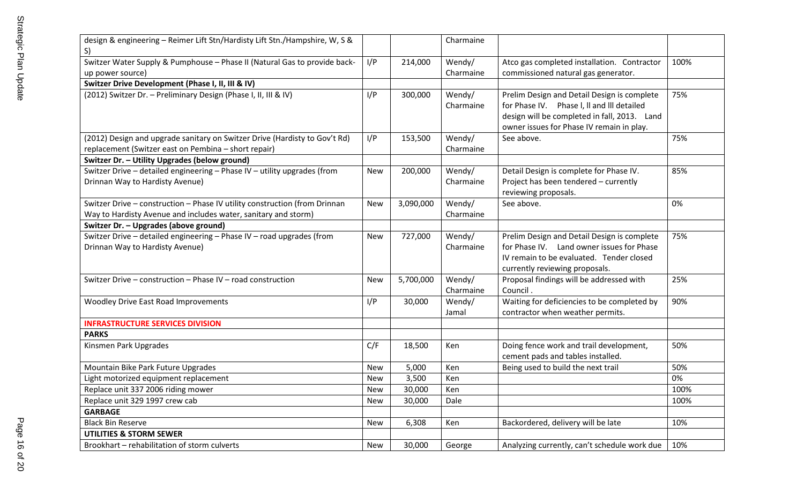| design & engineering - Reimer Lift Stn/Hardisty Lift Stn./Hampshire, W, S &<br>S)                       |            |           | Charmaine |                                              |      |
|---------------------------------------------------------------------------------------------------------|------------|-----------|-----------|----------------------------------------------|------|
| Switzer Water Supply & Pumphouse - Phase II (Natural Gas to provide back-                               | I/P        | 214,000   | Wendy/    | Atco gas completed installation. Contractor  | 100% |
| up power source)                                                                                        |            |           | Charmaine | commissioned natural gas generator.          |      |
| Switzer Drive Development (Phase I, II, III & IV)                                                       |            |           |           |                                              |      |
| (2012) Switzer Dr. - Preliminary Design (Phase I, II, III & IV)                                         | I/P        | 300,000   | Wendy/    | Prelim Design and Detail Design is complete  | 75%  |
|                                                                                                         |            |           | Charmaine | for Phase IV. Phase I, II and III detailed   |      |
|                                                                                                         |            |           |           | design will be completed in fall, 2013. Land |      |
|                                                                                                         |            |           |           | owner issues for Phase IV remain in play.    |      |
| (2012) Design and upgrade sanitary on Switzer Drive (Hardisty to Gov't Rd)                              | I/P        | 153,500   | Wendy/    | See above.                                   | 75%  |
| replacement (Switzer east on Pembina - short repair)                                                    |            |           | Charmaine |                                              |      |
| Switzer Dr. - Utility Upgrades (below ground)                                                           |            |           |           |                                              |      |
| Switzer Drive - detailed engineering - Phase IV - utility upgrades (from                                | New        | 200,000   | Wendy/    | Detail Design is complete for Phase IV.      | 85%  |
| Drinnan Way to Hardisty Avenue)                                                                         |            |           | Charmaine | Project has been tendered - currently        |      |
|                                                                                                         |            |           |           | reviewing proposals.                         |      |
| Switzer Drive - construction - Phase IV utility construction (from Drinnan                              | <b>New</b> | 3,090,000 | Wendy/    | See above.                                   | 0%   |
| Way to Hardisty Avenue and includes water, sanitary and storm)<br>Switzer Dr. - Upgrades (above ground) |            |           | Charmaine |                                              |      |
| Switzer Drive - detailed engineering - Phase IV - road upgrades (from                                   | <b>New</b> | 727,000   | Wendy/    | Prelim Design and Detail Design is complete  | 75%  |
| Drinnan Way to Hardisty Avenue)                                                                         |            |           | Charmaine | for Phase IV. Land owner issues for Phase    |      |
|                                                                                                         |            |           |           | IV remain to be evaluated. Tender closed     |      |
|                                                                                                         |            |           |           | currently reviewing proposals.               |      |
| Switzer Drive - construction - Phase IV - road construction                                             | <b>New</b> | 5,700,000 | Wendy/    | Proposal findings will be addressed with     | 25%  |
|                                                                                                         |            |           | Charmaine | Council.                                     |      |
| <b>Woodley Drive East Road Improvements</b>                                                             | I/P        | 30,000    | Wendy/    | Waiting for deficiencies to be completed by  | 90%  |
|                                                                                                         |            |           | Jamal     | contractor when weather permits.             |      |
| <b>INFRASTRUCTURE SERVICES DIVISION</b>                                                                 |            |           |           |                                              |      |
| <b>PARKS</b>                                                                                            |            |           |           |                                              |      |
| Kinsmen Park Upgrades                                                                                   | C/F        | 18,500    | Ken       | Doing fence work and trail development,      | 50%  |
|                                                                                                         |            |           |           | cement pads and tables installed.            |      |
| Mountain Bike Park Future Upgrades                                                                      | <b>New</b> | 5,000     | Ken       | Being used to build the next trail           | 50%  |
| Light motorized equipment replacement                                                                   | <b>New</b> | 3,500     | Ken       |                                              | 0%   |
| Replace unit 337 2006 riding mower                                                                      | <b>New</b> | 30,000    | Ken       |                                              | 100% |
| Replace unit 329 1997 crew cab                                                                          | <b>New</b> | 30,000    | Dale      |                                              | 100% |
| <b>GARBAGE</b>                                                                                          |            |           |           |                                              |      |
| <b>Black Bin Reserve</b>                                                                                | New        | 6,308     | Ken       | Backordered, delivery will be late           | 10%  |
| <b>UTILITIES &amp; STORM SEWER</b>                                                                      |            |           |           |                                              |      |
| Brookhart - rehabilitation of storm culverts                                                            | New        | 30,000    | George    | Analyzing currently, can't schedule work due | 10%  |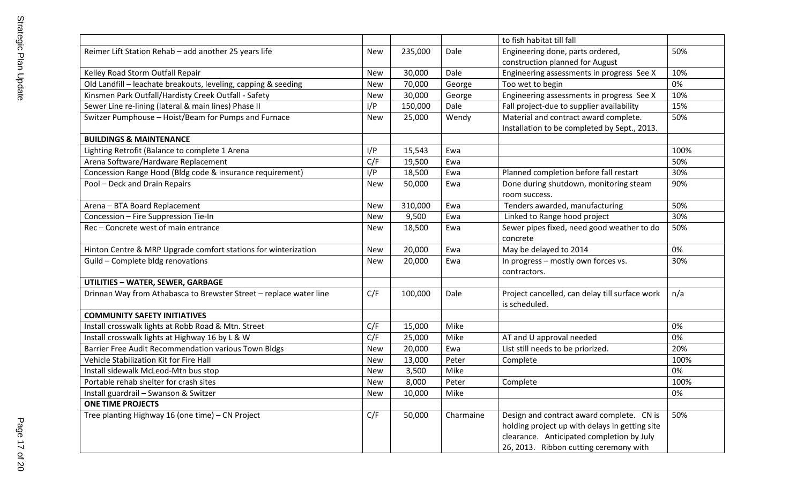|                                                                    |            |         |           | to fish habitat till fall                      |      |
|--------------------------------------------------------------------|------------|---------|-----------|------------------------------------------------|------|
| Reimer Lift Station Rehab - add another 25 years life              | New        | 235,000 | Dale      | Engineering done, parts ordered,               | 50%  |
|                                                                    |            |         |           | construction planned for August                |      |
| Kelley Road Storm Outfall Repair                                   | <b>New</b> | 30,000  | Dale      | Engineering assessments in progress See X      | 10%  |
| Old Landfill - leachate breakouts, leveling, capping & seeding     | New        | 70,000  | George    | Too wet to begin                               | 0%   |
| Kinsmen Park Outfall/Hardisty Creek Outfall - Safety               | New        | 30,000  | George    | Engineering assessments in progress See X      | 10%  |
| Sewer Line re-lining (lateral & main lines) Phase II               | I/P        | 150,000 | Dale      | Fall project-due to supplier availability      | 15%  |
| Switzer Pumphouse - Hoist/Beam for Pumps and Furnace               | <b>New</b> | 25,000  | Wendy     | Material and contract award complete.          | 50%  |
|                                                                    |            |         |           | Installation to be completed by Sept., 2013.   |      |
| <b>BUILDINGS &amp; MAINTENANCE</b>                                 |            |         |           |                                                |      |
| Lighting Retrofit (Balance to complete 1 Arena                     | I/P        | 15,543  | Ewa       |                                                | 100% |
| Arena Software/Hardware Replacement                                | C/F        | 19,500  | Ewa       |                                                | 50%  |
| Concession Range Hood (Bldg code & insurance requirement)          | I/P        | 18,500  | Ewa       | Planned completion before fall restart         | 30%  |
| Pool - Deck and Drain Repairs                                      | <b>New</b> | 50,000  | Ewa       | Done during shutdown, monitoring steam         | 90%  |
|                                                                    |            |         |           | room success.                                  |      |
| Arena - BTA Board Replacement                                      | <b>New</b> | 310,000 | Ewa       | Tenders awarded, manufacturing                 | 50%  |
| Concession - Fire Suppression Tie-In                               | <b>New</b> | 9,500   | Ewa       | Linked to Range hood project                   | 30%  |
| Rec - Concrete west of main entrance                               | New        | 18,500  | Ewa       | Sewer pipes fixed, need good weather to do     | 50%  |
|                                                                    |            |         |           | concrete                                       |      |
| Hinton Centre & MRP Upgrade comfort stations for winterization     | New        | 20,000  | Ewa       | May be delayed to 2014                         | 0%   |
| Guild - Complete bldg renovations                                  | <b>New</b> | 20,000  | Ewa       | In progress - mostly own forces vs.            | 30%  |
|                                                                    |            |         |           | contractors.                                   |      |
| <b>UTILITIES - WATER, SEWER, GARBAGE</b>                           |            |         |           |                                                |      |
| Drinnan Way from Athabasca to Brewster Street - replace water line | C/F        | 100,000 | Dale      | Project cancelled, can delay till surface work | n/a  |
|                                                                    |            |         |           | is scheduled.                                  |      |
| <b>COMMUNITY SAFETY INITIATIVES</b>                                |            |         |           |                                                |      |
| Install crosswalk lights at Robb Road & Mtn. Street                | C/F        | 15,000  | Mike      |                                                | 0%   |
| Install crosswalk lights at Highway 16 by L & W                    | C/F        | 25,000  | Mike      | AT and U approval needed                       | 0%   |
| Barrier Free Audit Recommendation various Town Bldgs               | <b>New</b> | 20,000  | Ewa       | List still needs to be priorized.              | 20%  |
| Vehicle Stabilization Kit for Fire Hall                            | <b>New</b> | 13,000  | Peter     | Complete                                       | 100% |
| Install sidewalk McLeod-Mtn bus stop                               | <b>New</b> | 3,500   | Mike      |                                                | 0%   |
| Portable rehab shelter for crash sites                             | New        | 8,000   | Peter     | Complete                                       | 100% |
| Install guardrail - Swanson & Switzer                              | <b>New</b> | 10,000  | Mike      |                                                | 0%   |
| <b>ONE TIME PROJECTS</b>                                           |            |         |           |                                                |      |
| Tree planting Highway 16 (one time) - CN Project                   | C/F        | 50,000  | Charmaine | Design and contract award complete. CN is      | 50%  |
|                                                                    |            |         |           | holding project up with delays in getting site |      |
|                                                                    |            |         |           | clearance. Anticipated completion by July      |      |
|                                                                    |            |         |           | 26, 2013. Ribbon cutting ceremony with         |      |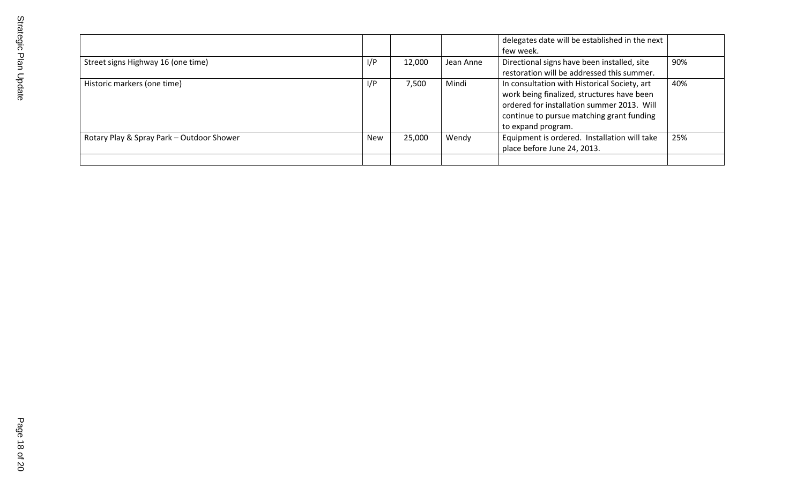|                                           |     |        |           | delegates date will be established in the next<br>few week.                                                                                                                                                 |     |
|-------------------------------------------|-----|--------|-----------|-------------------------------------------------------------------------------------------------------------------------------------------------------------------------------------------------------------|-----|
| Street signs Highway 16 (one time)        | I/P | 12,000 | Jean Anne | Directional signs have been installed, site<br>restoration will be addressed this summer.                                                                                                                   | 90% |
| Historic markers (one time)               | I/P | 7,500  | Mindi     | In consultation with Historical Society, art<br>work being finalized, structures have been<br>ordered for installation summer 2013. Will<br>continue to pursue matching grant funding<br>to expand program. | 40% |
| Rotary Play & Spray Park - Outdoor Shower | New | 25,000 | Wendy     | Equipment is ordered. Installation will take<br>place before June 24, 2013.                                                                                                                                 | 25% |
|                                           |     |        |           |                                                                                                                                                                                                             |     |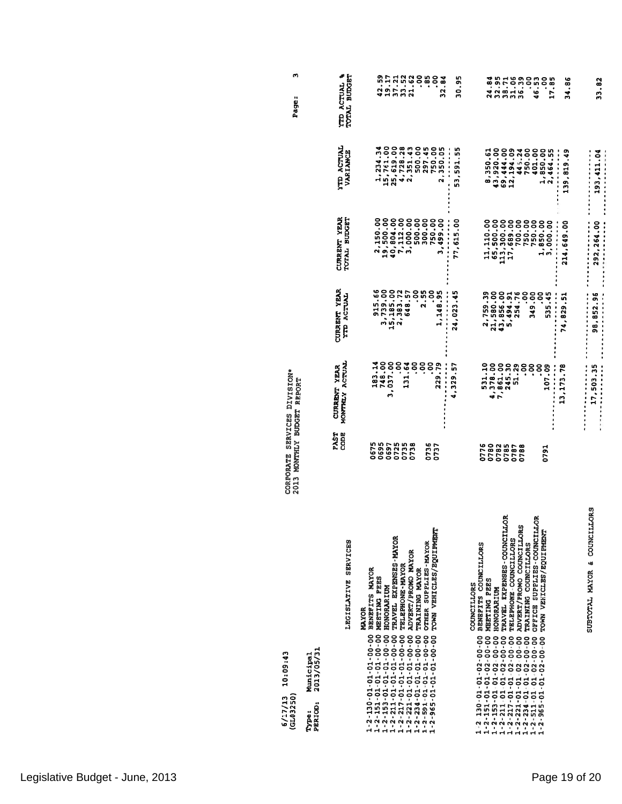| 10:09:43<br>(GL03250)<br>6/17/13                                                                                                                                                                                                                                                                                                                                                                                                                                                                                              | CORPORATE SERVICES DIVISION*<br>2013 MONTHLY BUDGET REPORT |                                                  |                                                              |                                                                                                    |                                                             | w<br>Page:                          |
|-------------------------------------------------------------------------------------------------------------------------------------------------------------------------------------------------------------------------------------------------------------------------------------------------------------------------------------------------------------------------------------------------------------------------------------------------------------------------------------------------------------------------------|------------------------------------------------------------|--------------------------------------------------|--------------------------------------------------------------|----------------------------------------------------------------------------------------------------|-------------------------------------------------------------|-------------------------------------|
| 2013/05/31<br>Municipal<br>PERIOD:<br>Type:                                                                                                                                                                                                                                                                                                                                                                                                                                                                                   |                                                            |                                                  |                                                              |                                                                                                    |                                                             |                                     |
| LEGISLATIVE SERVICES                                                                                                                                                                                                                                                                                                                                                                                                                                                                                                          | <b>PAST</b><br><b>CODE</b>                                 | MONTHLY ACTUAL<br>CURRENT YEAR                   | CURRENT YEAR<br><b>LAUTOA GTY</b>                            | CURRENT YEAR<br>TOTAL BUDGET                                                                       | <b>ACTUAL</b><br>VARIANCE                                   | <b>ACTUAL &amp;</b><br>TOTAL BUDGET |
| TRAVEL EXPENSES-MAYOR<br>ADVERT/PROMO MAYOR<br><b>TELEPHONE - MAYOR</b><br>BENEFITS MAYOR<br>MEETING PEES<br><b>HONORARIUM</b><br><b>MUXXOR</b><br>$\begin{array}{l} 1\cdot 2\cdot 130\cdot 01\cdot 01\cdot 01\cdot 00\cdot 00\ \hline 1\cdot 2\cdot 1\cdot 13\cdot 01\cdot 01\cdot 01\cdot 00\cdot 00\ \hline 1\cdot 2\cdot 13\cdot 01\cdot 01\cdot 01\cdot 00\cdot 00\ \hline 1\cdot 2\cdot 21\cdot 01\cdot 01\cdot 01\cdot 01\cdot 00\cdot 00\ \hline 1\cdot 2\cdot 21\cdot 01\cdot 01\cdot 01\cdot 01\cdot 00\cdot 00\ \$ | 0675<br>0695<br>0697<br>0725<br>0735<br>0738               | 748.00<br>183.14<br>3,037.00<br>ိ<br>ŝ<br>131.64 | 915.66<br>3,739.00<br>15,185.00<br>2,383.72<br>648.57<br>ຸຮຸ | 2,150.00<br>40,804.00<br>7,112.00<br>19,500.00<br>3,000.00                                         | 15,761.00<br>25,619.00<br>4,728.28<br>1,234.34<br>2,351.43  | 42.59<br>19.172<br>37.172<br>21.52  |
| TOWN VEHICLES/EQUIPMENT<br>OTHER SUPPLIES-MAYOR<br>TRAINING MAYOR<br>$\begin{array}{l} 1\hbox{-} 2\hbox{-} 221\hbox{-} 01\hbox{-} 01\hbox{-} 01\hbox{-} 00\hbox{-} 00 \\ 1\hbox{-} 2\hbox{-} 234\hbox{-} 01\hbox{-} 01\hbox{-} 01\hbox{-} 00\hbox{-} 00 \\ 1\hbox{-} 2\hbox{-} 234\hbox{-} 01\hbox{-} 01\hbox{-} 01\hbox{-} 01\hbox{-} 00\hbox{-} 00 \\ \end{array}$<br>1-2-965-01-01-01-00-00                                                                                                                                | 0736<br>0737                                               | ŝ<br>ိဝ<br>၁<br>229.79                           | 2.55<br>ိဝ<br>၁<br>1,148.95                                  | 500.00<br>300.00<br>750.00<br>3,499.00                                                             | 500.00<br>297.45<br>750.00<br>350.05<br>$\ddot{\mathbf{a}}$ | ို<br>-85<br>ိဝ<br>၁<br>32.84       |
|                                                                                                                                                                                                                                                                                                                                                                                                                                                                                                                               |                                                            | 4,329.57                                         | 24,023.45<br>$\ddot{\phantom{a}}$                            | 77,615.00<br>                                                                                      | 53, 591.55                                                  | 30.95                               |
| BENEFITS COUNCILLORS<br>MEETING PEES<br>COUNCILLORS<br>HONORARIUM<br>$\begin{array}{l} 1\hbox{-} 2\hbox{-} 151\hbox{-} 01\hbox{-} 01\hbox{-} 02\hbox{-} 00\hbox{-} 00 \\ 1\hbox{-} 2\hbox{-} 153\hbox{-} 01\hbox{-} 01\hbox{-} 02\hbox{-} 00\hbox{-} 00 \\ 1\hbox{-} 2\hbox{-} 2153\hbox{-} 01\hbox{-} 01\hbox{-} 02\hbox{-} 02\hbox{-} 00 \\ \end{array}$<br>$1 - 2 - 130 - 01 - 01 - 02 - 00 - 00$                                                                                                                          | 0776<br>0780                                               | 531.10                                           | 2,759.39<br>21,580.00                                        | 11,110.00<br>65,500.00                                                                             | 8,350.61                                                    | 24.84                               |
| ã<br>TRAVEL EXPENSES-COUNCILL<br>TELEPHONE COUNCILLORS<br>$1 - 2 - 217 - 01 - 02 - 00 - 00$                                                                                                                                                                                                                                                                                                                                                                                                                                   | 0782<br>0785                                               | 4,378.00<br>7,861.00<br>245.30                   | 43,856.00<br>5,494.91                                        | 113,300.00<br>17,689.00                                                                            | 43,920.00<br>12,194.09<br>69,444.00                         | 32.95<br>38.71<br>31.86<br>36.39    |
| ADVERT/FROMO COUNCILLORS<br>TRAINING COUNCILLORS<br>$1 - 2 - 221 - 01 - 02 - 00 - 00$<br>$0 - 234 - 01 - 01 - 02 - 00 - 00$                                                                                                                                                                                                                                                                                                                                                                                                   | 0787<br>0788                                               | 51.29<br>ိ                                       | ဝို့<br>254.76                                               | 700.00<br>750.00                                                                                   | 750.00<br>445.24                                            | <u>ိ</u>                            |
| OFFICE SUPPLIES-COUNCILLOR<br>TOWN VEHICLES/EQUIPMENT<br>$1 - 2 - 511 - 01 - 01 - 02 - 00 - 00$<br>1-2-965-01-01-02-00-00                                                                                                                                                                                                                                                                                                                                                                                                     | 0791                                                       | <u>ဒို</u><br>ខុ<br>107.09                       | 349.00<br><u>ဒို</u><br>535.45                               | 750.00<br>1,850.00<br>3,000.00                                                                     | 401.00<br>1,850.00<br>2,454.55                              | 46.53<br>°                          |
|                                                                                                                                                                                                                                                                                                                                                                                                                                                                                                                               |                                                            | 13, 173.78                                       | 74, 829.51                                                   | 214,649.00<br>$\begin{array}{c}\n\bullet \\ \bullet \\ \bullet \\ \bullet \\ \bullet\n\end{array}$ | 139,819.49<br>$\frac{1}{2}$                                 | 34.86<br>17.85                      |
| SUBTOTAL MAYOR & COUNCILLORS                                                                                                                                                                                                                                                                                                                                                                                                                                                                                                  |                                                            | 17,503.35                                        | 计计算子 医生物生物的<br>98, 852.96                                    | .<br>292,264.00<br>化亚甲基苯基苯基 医皮肤发育 医单位                                                              | 193,411.04                                                  | 33.82                               |